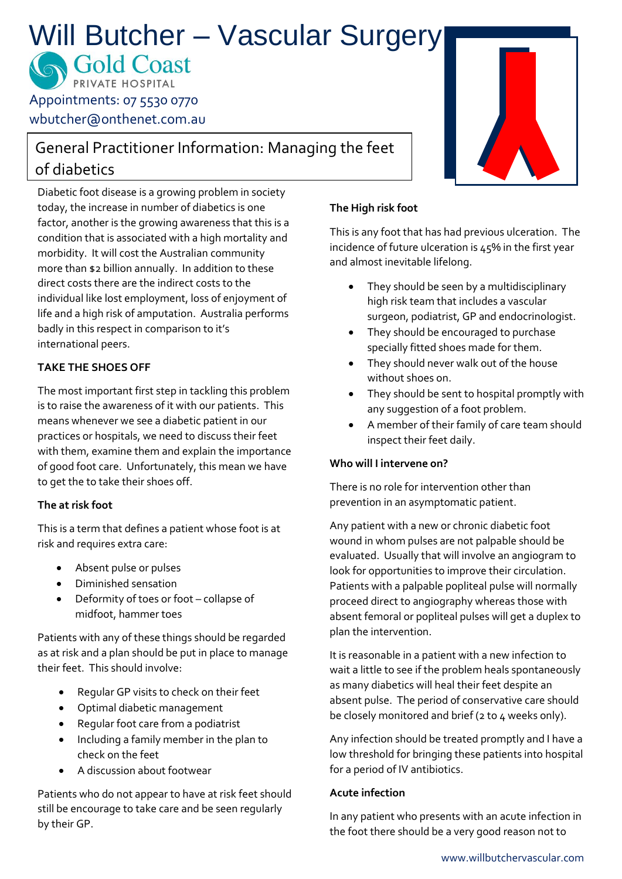# Will Butcher – Vascular Surgery

**SOld Coast** Appointments: 07 5530 0770

wbutcher@onthenet.com.au

# General Practitioner Information: Managing the feet of diabetics

Diabetic foot disease is a growing problem in society today, the increase in number of diabetics is one factor, another is the growing awareness that this is a condition that is associated with a high mortality and morbidity. It will cost the Australian community more than \$2 billion annually. In addition to these direct costs there are the indirect costs to the individual like lost employment, loss of enjoyment of life and a high risk of amputation. Australia performs badly in this respect in comparison to it's international peers.

# **TAKE THE SHOES OFF**

The most important first step in tackling this problem is to raise the awareness of it with our patients. This means whenever we see a diabetic patient in our practices or hospitals, we need to discuss their feet with them, examine them and explain the importance of good foot care. Unfortunately, this mean we have to get the to take their shoes off.

## **The at risk foot**

This is a term that defines a patient whose foot is at risk and requires extra care:

- Absent pulse or pulses
- Diminished sensation
- Deformity of toes or foot collapse of midfoot, hammer toes

Patients with any of these things should be regarded as at risk and a plan should be put in place to manage their feet. This should involve:

- Regular GP visits to check on their feet
- Optimal diabetic management
- Regular foot care from a podiatrist
- Including a family member in the plan to check on the feet
- A discussion about footwear

Patients who do not appear to have at risk feet should still be encourage to take care and be seen regularly by their GP.

## **The High risk foot**

This is any foot that has had previous ulceration. The incidence of future ulceration is 45% in the first year and almost inevitable lifelong.

- They should be seen by a multidisciplinary high risk team that includes a vascular surgeon, podiatrist, GP and endocrinologist.
- They should be encouraged to purchase specially fitted shoes made for them.
- They should never walk out of the house without shoes on.
- They should be sent to hospital promptly with any suggestion of a foot problem.
- A member of their family of care team should inspect their feet daily.

#### **Who will I intervene on?**

There is no role for intervention other than prevention in an asymptomatic patient.

Any patient with a new or chronic diabetic foot wound in whom pulses are not palpable should be evaluated. Usually that will involve an angiogram to look for opportunities to improve their circulation. Patients with a palpable popliteal pulse will normally proceed direct to angiography whereas those with absent femoral or popliteal pulses will get a duplex to plan the intervention.

It is reasonable in a patient with a new infection to wait a little to see if the problem heals spontaneously as many diabetics will heal their feet despite an absent pulse. The period of conservative care should be closely monitored and brief (2 to 4 weeks only).

Any infection should be treated promptly and I have a low threshold for bringing these patients into hospital for a period of IV antibiotics.

#### **Acute infection**

In any patient who presents with an acute infection in the foot there should be a very good reason not to